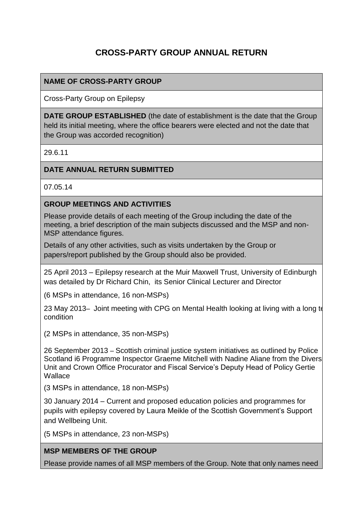# **CROSS-PARTY GROUP ANNUAL RETURN**

### **NAME OF CROSS-PARTY GROUP**

Cross-Party Group on Epilepsy

**DATE GROUP ESTABLISHED** (the date of establishment is the date that the Group held its initial meeting, where the office bearers were elected and not the date that the Group was accorded recognition)

29.6.11

#### **DATE ANNUAL RETURN SUBMITTED**

07.05.14

#### **GROUP MEETINGS AND ACTIVITIES**

Please provide details of each meeting of the Group including the date of the meeting, a brief description of the main subjects discussed and the MSP and non-MSP attendance figures.

Details of any other activities, such as visits undertaken by the Group or papers/report published by the Group should also be provided.

25 April 2013 – Epilepsy research at the Muir Maxwell Trust, University of Edinburgh was detailed by Dr Richard Chin, its Senior Clinical Lecturer and Director

(6 MSPs in attendance, 16 non-MSPs)

23 May 2013– Joint meeting with CPG on Mental Health looking at living with a long to condition

(2 MSPs in attendance, 35 non-MSPs)

26 September 2013 – Scottish criminal justice system initiatives as outlined by Police Scotland i6 Programme Inspector Graeme Mitchell with Nadine Aliane from the Divers Unit and Crown Office Procurator and Fiscal Service's Deputy Head of Policy Gertie **Wallace** 

(3 MSPs in attendance, 18 non-MSPs)

30 January 2014 – Current and proposed education policies and programmes for pupils with epilepsy covered by Laura Meikle of the Scottish Government's Support and Wellbeing Unit.

(5 MSPs in attendance, 23 non-MSPs)

#### **MSP MEMBERS OF THE GROUP**

Please provide names of all MSP members of the Group. Note that only names need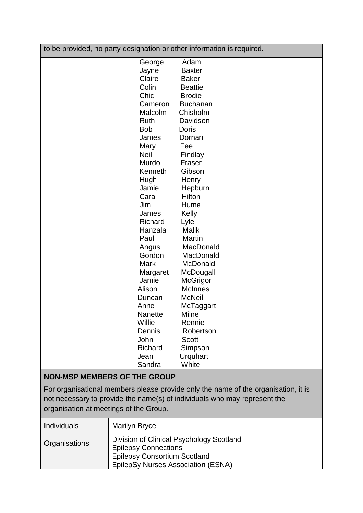| to be provided, no party designation or other information is required. |                 |  |
|------------------------------------------------------------------------|-----------------|--|
| George                                                                 | Adam            |  |
| Jayne                                                                  | <b>Baxter</b>   |  |
| Claire                                                                 | <b>Baker</b>    |  |
| Colin                                                                  | <b>Beattie</b>  |  |
| Chic                                                                   | <b>Brodie</b>   |  |
| Cameron                                                                | <b>Buchanan</b> |  |
| Malcolm                                                                | Chisholm        |  |
| <b>Ruth</b>                                                            | Davidson        |  |
| <b>Bob</b>                                                             | Doris           |  |
| James                                                                  | Dornan          |  |
| Mary                                                                   | Fee             |  |
| Neil                                                                   | Findlay         |  |
| Murdo                                                                  | Fraser          |  |
| Kenneth                                                                | Gibson          |  |
| Hugh                                                                   | Henry           |  |
| Jamie                                                                  | Hepburn         |  |
| Cara                                                                   | Hilton          |  |
| Jim                                                                    | Hume            |  |
| James                                                                  | Kelly           |  |
| Richard                                                                | Lyle            |  |
| Hanzala                                                                | <b>Malik</b>    |  |
| Paul                                                                   | Martin          |  |
| Angus                                                                  | MacDonald       |  |
| Gordon                                                                 | MacDonald       |  |
| <b>Mark</b>                                                            | McDonald        |  |
| Margaret                                                               | McDougall       |  |
| Jamie                                                                  | McGrigor        |  |
| Alison                                                                 | <b>McInnes</b>  |  |
| Duncan                                                                 | <b>McNeil</b>   |  |
| Anne                                                                   | McTaggart       |  |
| Nanette                                                                | Milne           |  |
| Willie                                                                 | Rennie          |  |
| Dennis                                                                 | Robertson       |  |
| John                                                                   | Scott           |  |
| Richard                                                                | Simpson         |  |
| Jean                                                                   | Urquhart        |  |
| Sandra                                                                 | White           |  |
| <b>NON-MSP MEMBERS OF THE GROUP</b>                                    |                 |  |

For organisational members please provide only the name of the organisation, it is not necessary to provide the name(s) of individuals who may represent the organisation at meetings of the Group.

| <b>Individuals</b> | <b>Marilyn Bryce</b>                                                                                                                                 |
|--------------------|------------------------------------------------------------------------------------------------------------------------------------------------------|
| Organisations      | Division of Clinical Psychology Scotland<br><b>Epilepsy Connections</b><br><b>Epilepsy Consortium Scotland</b><br>EpilepSy Nurses Association (ESNA) |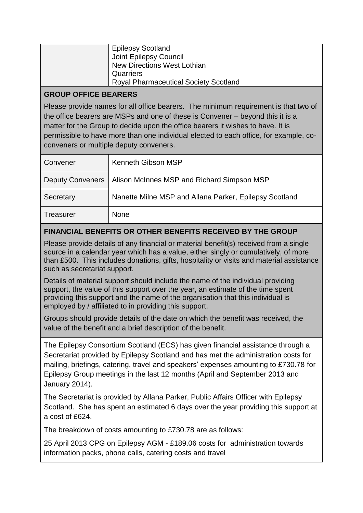| <b>Epilepsy Scotland</b>                     |
|----------------------------------------------|
| Joint Epilepsy Council                       |
| New Directions West Lothian                  |
| Quarriers                                    |
| <b>Royal Pharmaceutical Society Scotland</b> |

### **GROUP OFFICE BEARERS**

Please provide names for all office bearers. The minimum requirement is that two of the office bearers are MSPs and one of these is Convener – beyond this it is a matter for the Group to decide upon the office bearers it wishes to have. It is permissible to have more than one individual elected to each office, for example, coconveners or multiple deputy conveners.

| Convener                | <b>Kenneth Gibson MSP</b>                              |
|-------------------------|--------------------------------------------------------|
| <b>Deputy Conveners</b> | Alison McInnes MSP and Richard Simpson MSP             |
| Secretary               | Nanette Milne MSP and Allana Parker, Epilepsy Scotland |
| Treasurer               | <b>None</b>                                            |

## **FINANCIAL BENEFITS OR OTHER BENEFITS RECEIVED BY THE GROUP**

Please provide details of any financial or material benefit(s) received from a single source in a calendar year which has a value, either singly or cumulatively, of more than £500. This includes donations, gifts, hospitality or visits and material assistance such as secretariat support.

Details of material support should include the name of the individual providing support, the value of this support over the year, an estimate of the time spent providing this support and the name of the organisation that this individual is employed by / affiliated to in providing this support.

Groups should provide details of the date on which the benefit was received, the value of the benefit and a brief description of the benefit.

The Epilepsy Consortium Scotland (ECS) has given financial assistance through a Secretariat provided by Epilepsy Scotland and has met the administration costs for mailing, briefings, catering, travel and speakers' expenses amounting to £730.78 for Epilepsy Group meetings in the last 12 months (April and September 2013 and January 2014).

The Secretariat is provided by Allana Parker, Public Affairs Officer with Epilepsy Scotland. She has spent an estimated 6 days over the year providing this support at a cost of £624.

The breakdown of costs amounting to £730.78 are as follows:

25 April 2013 CPG on Epilepsy AGM - £189.06 costs for administration towards information packs, phone calls, catering costs and travel